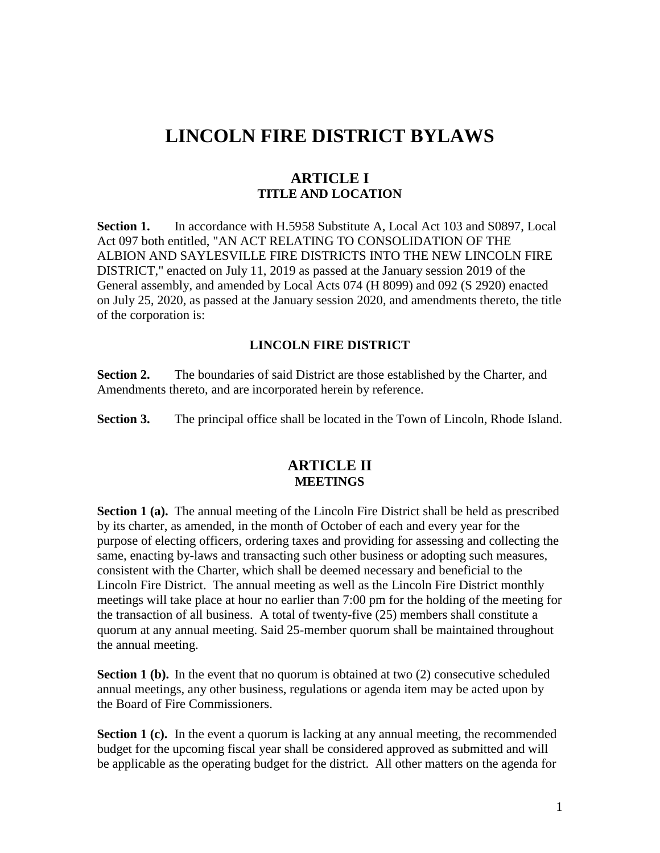# **LINCOLN FIRE DISTRICT BYLAWS**

### **ARTICLE I TITLE AND LOCATION**

**Section 1.** In accordance with H.5958 Substitute A, Local Act 103 and S0897, Local Act 097 both entitled, "AN ACT RELATING TO CONSOLIDATION OF THE ALBION AND SAYLESVILLE FIRE DISTRICTS INTO THE NEW LINCOLN FIRE DISTRICT," enacted on July 11, 2019 as passed at the January session 2019 of the General assembly, and amended by Local Acts 074 (H 8099) and 092 (S 2920) enacted on July 25, 2020, as passed at the January session 2020, and amendments thereto, the title of the corporation is:

#### **LINCOLN FIRE DISTRICT**

**Section 2.** The boundaries of said District are those established by the Charter, and Amendments thereto, and are incorporated herein by reference.

**Section 3.** The principal office shall be located in the Town of Lincoln, Rhode Island.

# **ARTICLE II MEETINGS**

**Section 1 (a).** The annual meeting of the Lincoln Fire District shall be held as prescribed by its charter, as amended, in the month of October of each and every year for the purpose of electing officers, ordering taxes and providing for assessing and collecting the same, enacting by-laws and transacting such other business or adopting such measures, consistent with the Charter, which shall be deemed necessary and beneficial to the Lincoln Fire District. The annual meeting as well as the Lincoln Fire District monthly meetings will take place at hour no earlier than 7:00 pm for the holding of the meeting for the transaction of all business. A total of twenty-five (25) members shall constitute a quorum at any annual meeting. Said 25-member quorum shall be maintained throughout the annual meeting.

**Section 1 (b).** In the event that no quorum is obtained at two (2) consecutive scheduled annual meetings, any other business, regulations or agenda item may be acted upon by the Board of Fire Commissioners.

**Section 1 (c).** In the event a quorum is lacking at any annual meeting, the recommended budget for the upcoming fiscal year shall be considered approved as submitted and will be applicable as the operating budget for the district. All other matters on the agenda for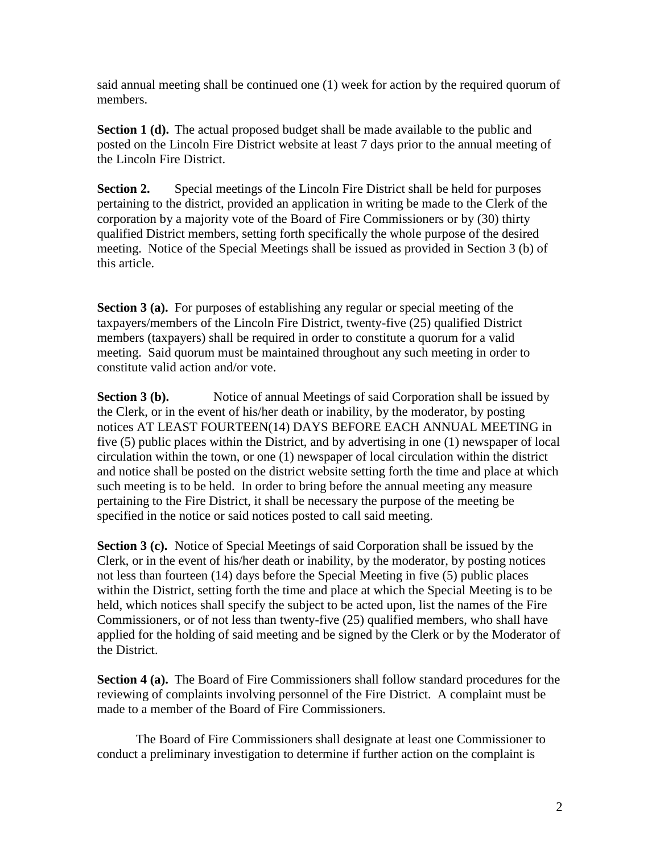said annual meeting shall be continued one (1) week for action by the required quorum of members.

**Section 1 (d).** The actual proposed budget shall be made available to the public and posted on the Lincoln Fire District website at least 7 days prior to the annual meeting of the Lincoln Fire District.

**Section 2.** Special meetings of the Lincoln Fire District shall be held for purposes pertaining to the district, provided an application in writing be made to the Clerk of the corporation by a majority vote of the Board of Fire Commissioners or by (30) thirty qualified District members, setting forth specifically the whole purpose of the desired meeting. Notice of the Special Meetings shall be issued as provided in Section 3 (b) of this article.

**Section 3 (a).** For purposes of establishing any regular or special meeting of the taxpayers/members of the Lincoln Fire District, twenty-five (25) qualified District members (taxpayers) shall be required in order to constitute a quorum for a valid meeting. Said quorum must be maintained throughout any such meeting in order to constitute valid action and/or vote.

**Section 3 (b).** Notice of annual Meetings of said Corporation shall be issued by the Clerk, or in the event of his/her death or inability, by the moderator, by posting notices AT LEAST FOURTEEN(14) DAYS BEFORE EACH ANNUAL MEETING in five (5) public places within the District, and by advertising in one (1) newspaper of local circulation within the town, or one (1) newspaper of local circulation within the district and notice shall be posted on the district website setting forth the time and place at which such meeting is to be held. In order to bring before the annual meeting any measure pertaining to the Fire District, it shall be necessary the purpose of the meeting be specified in the notice or said notices posted to call said meeting.

**Section 3 (c).** Notice of Special Meetings of said Corporation shall be issued by the Clerk, or in the event of his/her death or inability, by the moderator, by posting notices not less than fourteen (14) days before the Special Meeting in five (5) public places within the District, setting forth the time and place at which the Special Meeting is to be held, which notices shall specify the subject to be acted upon, list the names of the Fire Commissioners, or of not less than twenty-five (25) qualified members, who shall have applied for the holding of said meeting and be signed by the Clerk or by the Moderator of the District.

**Section 4 (a).** The Board of Fire Commissioners shall follow standard procedures for the reviewing of complaints involving personnel of the Fire District. A complaint must be made to a member of the Board of Fire Commissioners.

The Board of Fire Commissioners shall designate at least one Commissioner to conduct a preliminary investigation to determine if further action on the complaint is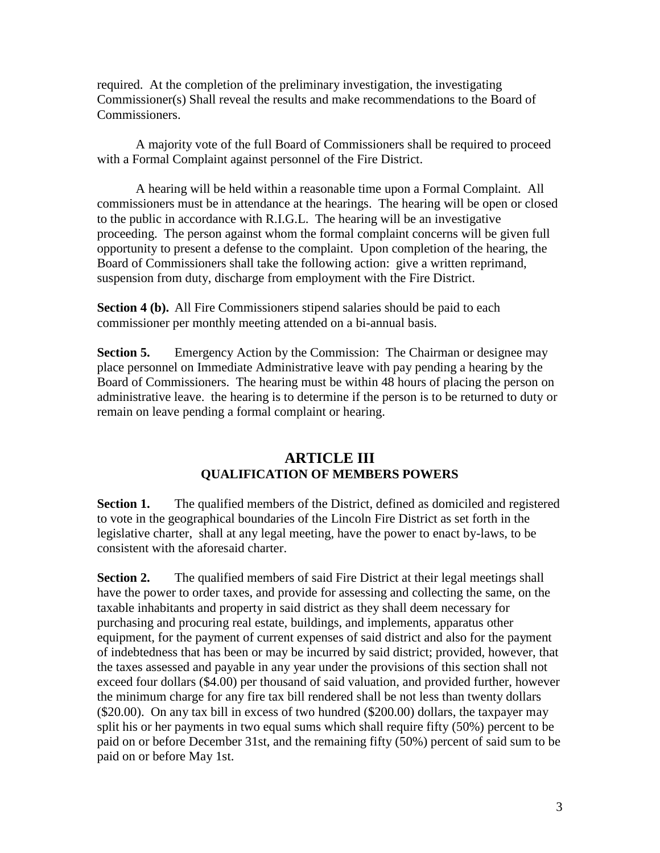required. At the completion of the preliminary investigation, the investigating Commissioner(s) Shall reveal the results and make recommendations to the Board of Commissioners.

A majority vote of the full Board of Commissioners shall be required to proceed with a Formal Complaint against personnel of the Fire District.

A hearing will be held within a reasonable time upon a Formal Complaint. All commissioners must be in attendance at the hearings. The hearing will be open or closed to the public in accordance with R.I.G.L. The hearing will be an investigative proceeding. The person against whom the formal complaint concerns will be given full opportunity to present a defense to the complaint. Upon completion of the hearing, the Board of Commissioners shall take the following action: give a written reprimand, suspension from duty, discharge from employment with the Fire District.

**Section 4 (b).** All Fire Commissioners stipend salaries should be paid to each commissioner per monthly meeting attended on a bi-annual basis.

**Section 5.** Emergency Action by the Commission: The Chairman or designee may place personnel on Immediate Administrative leave with pay pending a hearing by the Board of Commissioners. The hearing must be within 48 hours of placing the person on administrative leave. the hearing is to determine if the person is to be returned to duty or remain on leave pending a formal complaint or hearing.

# **ARTICLE III QUALIFICATION OF MEMBERS POWERS**

**Section 1.** The qualified members of the District, defined as domiciled and registered to vote in the geographical boundaries of the Lincoln Fire District as set forth in the legislative charter, shall at any legal meeting, have the power to enact by-laws, to be consistent with the aforesaid charter.

**Section 2.** The qualified members of said Fire District at their legal meetings shall have the power to order taxes, and provide for assessing and collecting the same, on the taxable inhabitants and property in said district as they shall deem necessary for purchasing and procuring real estate, buildings, and implements, apparatus other equipment, for the payment of current expenses of said district and also for the payment of indebtedness that has been or may be incurred by said district; provided, however, that the taxes assessed and payable in any year under the provisions of this section shall not exceed four dollars (\$4.00) per thousand of said valuation, and provided further, however the minimum charge for any fire tax bill rendered shall be not less than twenty dollars (\$20.00). On any tax bill in excess of two hundred (\$200.00) dollars, the taxpayer may split his or her payments in two equal sums which shall require fifty (50%) percent to be paid on or before December 31st, and the remaining fifty (50%) percent of said sum to be paid on or before May 1st.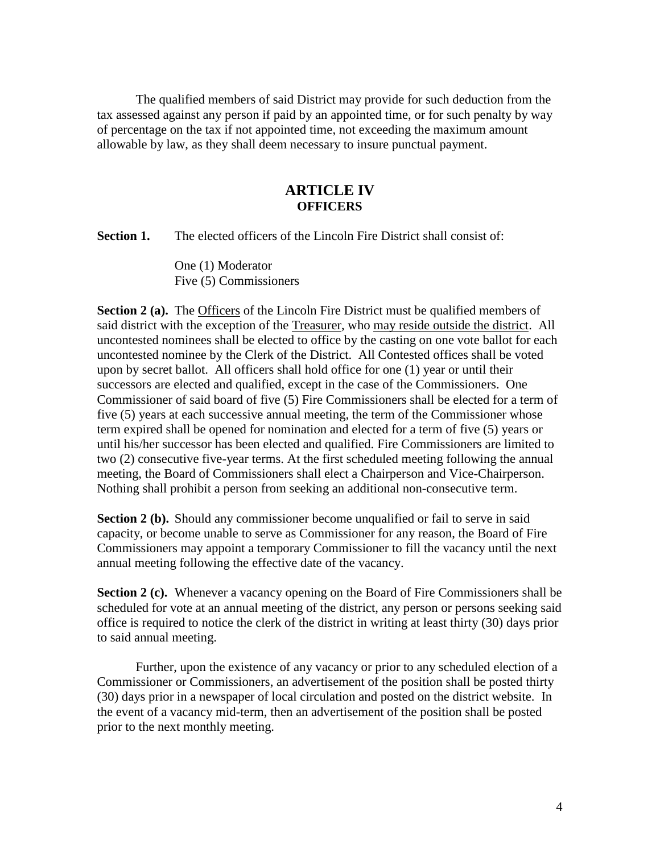The qualified members of said District may provide for such deduction from the tax assessed against any person if paid by an appointed time, or for such penalty by way of percentage on the tax if not appointed time, not exceeding the maximum amount allowable by law, as they shall deem necessary to insure punctual payment.

### **ARTICLE IV OFFICERS**

**Section 1.** The elected officers of the Lincoln Fire District shall consist of:

One (1) Moderator Five (5) Commissioners

**Section 2 (a).** The Officers of the Lincoln Fire District must be qualified members of said district with the exception of the Treasurer, who may reside outside the district. All uncontested nominees shall be elected to office by the casting on one vote ballot for each uncontested nominee by the Clerk of the District. All Contested offices shall be voted upon by secret ballot. All officers shall hold office for one (1) year or until their successors are elected and qualified, except in the case of the Commissioners. One Commissioner of said board of five (5) Fire Commissioners shall be elected for a term of five (5) years at each successive annual meeting, the term of the Commissioner whose term expired shall be opened for nomination and elected for a term of five (5) years or until his/her successor has been elected and qualified. Fire Commissioners are limited to two (2) consecutive five-year terms. At the first scheduled meeting following the annual meeting, the Board of Commissioners shall elect a Chairperson and Vice-Chairperson. Nothing shall prohibit a person from seeking an additional non-consecutive term.

**Section 2 (b).** Should any commissioner become unqualified or fail to serve in said capacity, or become unable to serve as Commissioner for any reason, the Board of Fire Commissioners may appoint a temporary Commissioner to fill the vacancy until the next annual meeting following the effective date of the vacancy.

**Section 2 (c).** Whenever a vacancy opening on the Board of Fire Commissioners shall be scheduled for vote at an annual meeting of the district, any person or persons seeking said office is required to notice the clerk of the district in writing at least thirty (30) days prior to said annual meeting.

Further, upon the existence of any vacancy or prior to any scheduled election of a Commissioner or Commissioners, an advertisement of the position shall be posted thirty (30) days prior in a newspaper of local circulation and posted on the district website. In the event of a vacancy mid-term, then an advertisement of the position shall be posted prior to the next monthly meeting.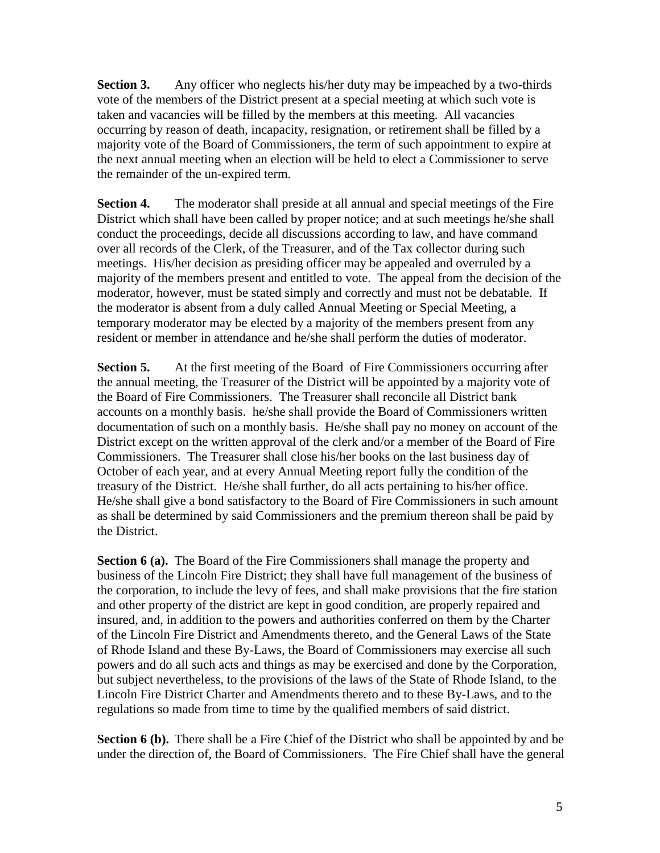**Section 3.** Any officer who neglects his/her duty may be impeached by a two-thirds vote of the members of the District present at a special meeting at which such vote is taken and vacancies will be filled by the members at this meeting. All vacancies occurring by reason of death, incapacity, resignation, or retirement shall be filled by a majority vote of the Board of Commissioners, the term of such appointment to expire at the next annual meeting when an election will be held to elect a Commissioner to serve the remainder of the un-expired term.

**Section 4.** The moderator shall preside at all annual and special meetings of the Fire District which shall have been called by proper notice; and at such meetings he/she shall conduct the proceedings, decide all discussions according to law, and have command over all records of the Clerk, of the Treasurer, and of the Tax collector during such meetings. His/her decision as presiding officer may be appealed and overruled by a majority of the members present and entitled to vote. The appeal from the decision of the moderator, however, must be stated simply and correctly and must not be debatable. If the moderator is absent from a duly called Annual Meeting or Special Meeting, a temporary moderator may be elected by a majority of the members present from any resident or member in attendance and he/she shall perform the duties of moderator.

**Section 5.** At the first meeting of the Board of Fire Commissioners occurring after the annual meeting, the Treasurer of the District will be appointed by a majority vote of the Board of Fire Commissioners. The Treasurer shall reconcile all District bank accounts on a monthly basis. he/she shall provide the Board of Commissioners written documentation of such on a monthly basis. He/she shall pay no money on account of the District except on the written approval of the clerk and/or a member of the Board of Fire Commissioners. The Treasurer shall close his/her books on the last business day of October of each year, and at every Annual Meeting report fully the condition of the treasury of the District. He/she shall further, do all acts pertaining to his/her office. He/she shall give a bond satisfactory to the Board of Fire Commissioners in such amount as shall be determined by said Commissioners and the premium thereon shall be paid by the District.

**Section 6 (a).** The Board of the Fire Commissioners shall manage the property and business of the Lincoln Fire District; they shall have full management of the business of the corporation, to include the levy of fees, and shall make provisions that the fire station and other property of the district are kept in good condition, are properly repaired and insured, and, in addition to the powers and authorities conferred on them by the Charter of the Lincoln Fire District and Amendments thereto, and the General Laws of the State of Rhode Island and these By-Laws, the Board of Commissioners may exercise all such powers and do all such acts and things as may be exercised and done by the Corporation, but subject nevertheless, to the provisions of the laws of the State of Rhode Island, to the Lincoln Fire District Charter and Amendments thereto and to these By-Laws, and to the regulations so made from time to time by the qualified members of said district.

**Section 6 (b).** There shall be a Fire Chief of the District who shall be appointed by and be under the direction of, the Board of Commissioners. The Fire Chief shall have the general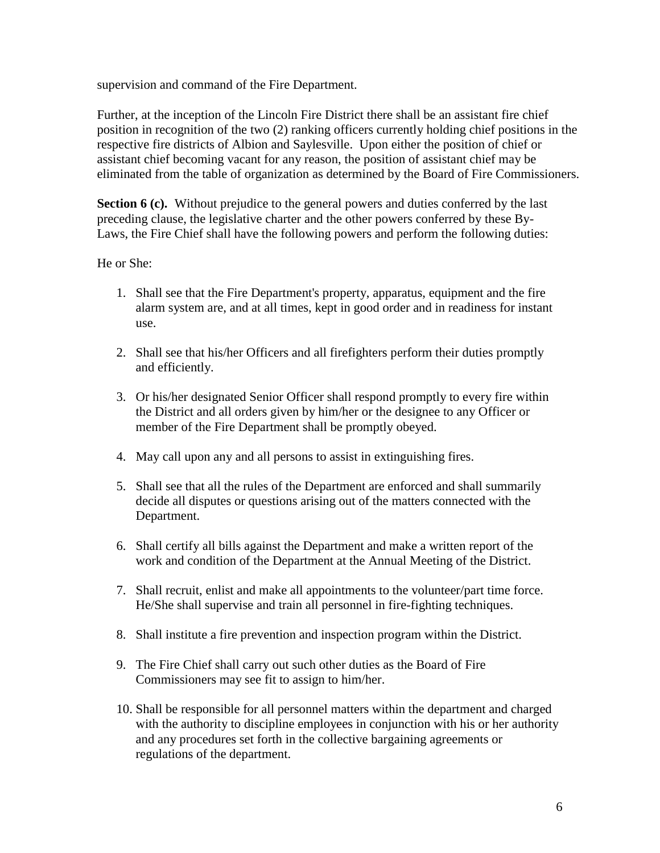supervision and command of the Fire Department.

Further, at the inception of the Lincoln Fire District there shall be an assistant fire chief position in recognition of the two (2) ranking officers currently holding chief positions in the respective fire districts of Albion and Saylesville. Upon either the position of chief or assistant chief becoming vacant for any reason, the position of assistant chief may be eliminated from the table of organization as determined by the Board of Fire Commissioners.

**Section 6 (c).** Without prejudice to the general powers and duties conferred by the last preceding clause, the legislative charter and the other powers conferred by these By-Laws, the Fire Chief shall have the following powers and perform the following duties:

#### He or She:

- 1. Shall see that the Fire Department's property, apparatus, equipment and the fire alarm system are, and at all times, kept in good order and in readiness for instant use.
- 2. Shall see that his/her Officers and all firefighters perform their duties promptly and efficiently.
- 3. Or his/her designated Senior Officer shall respond promptly to every fire within the District and all orders given by him/her or the designee to any Officer or member of the Fire Department shall be promptly obeyed.
- 4. May call upon any and all persons to assist in extinguishing fires.
- 5. Shall see that all the rules of the Department are enforced and shall summarily decide all disputes or questions arising out of the matters connected with the Department.
- 6. Shall certify all bills against the Department and make a written report of the work and condition of the Department at the Annual Meeting of the District.
- 7. Shall recruit, enlist and make all appointments to the volunteer/part time force. He/She shall supervise and train all personnel in fire-fighting techniques.
- 8. Shall institute a fire prevention and inspection program within the District.
- 9. The Fire Chief shall carry out such other duties as the Board of Fire Commissioners may see fit to assign to him/her.
- 10. Shall be responsible for all personnel matters within the department and charged with the authority to discipline employees in conjunction with his or her authority and any procedures set forth in the collective bargaining agreements or regulations of the department.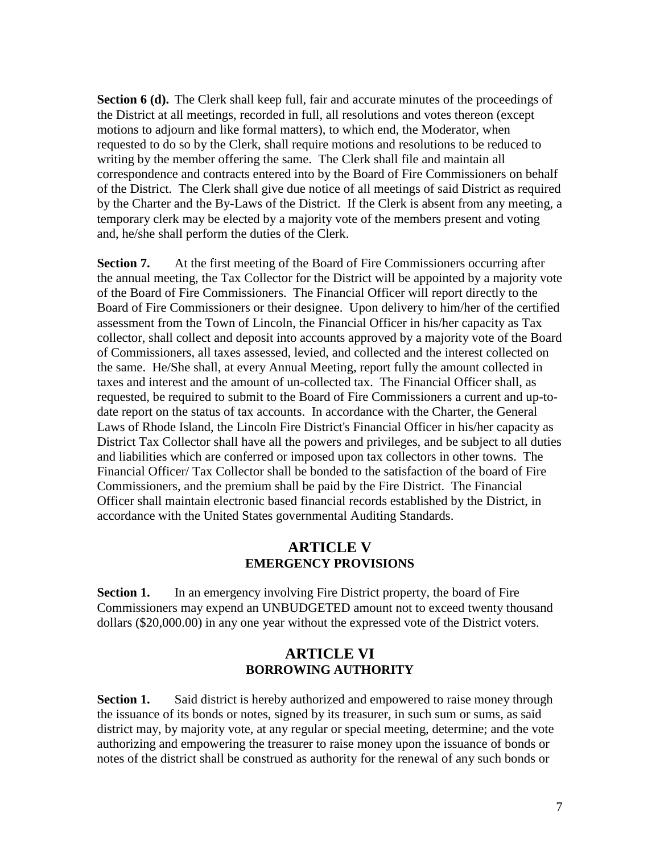**Section 6 (d).** The Clerk shall keep full, fair and accurate minutes of the proceedings of the District at all meetings, recorded in full, all resolutions and votes thereon (except motions to adjourn and like formal matters), to which end, the Moderator, when requested to do so by the Clerk, shall require motions and resolutions to be reduced to writing by the member offering the same. The Clerk shall file and maintain all correspondence and contracts entered into by the Board of Fire Commissioners on behalf of the District. The Clerk shall give due notice of all meetings of said District as required by the Charter and the By-Laws of the District. If the Clerk is absent from any meeting, a temporary clerk may be elected by a majority vote of the members present and voting and, he/she shall perform the duties of the Clerk.

**Section 7.** At the first meeting of the Board of Fire Commissioners occurring after the annual meeting, the Tax Collector for the District will be appointed by a majority vote of the Board of Fire Commissioners. The Financial Officer will report directly to the Board of Fire Commissioners or their designee. Upon delivery to him/her of the certified assessment from the Town of Lincoln, the Financial Officer in his/her capacity as Tax collector, shall collect and deposit into accounts approved by a majority vote of the Board of Commissioners, all taxes assessed, levied, and collected and the interest collected on the same. He/She shall, at every Annual Meeting, report fully the amount collected in taxes and interest and the amount of un-collected tax. The Financial Officer shall, as requested, be required to submit to the Board of Fire Commissioners a current and up-todate report on the status of tax accounts. In accordance with the Charter, the General Laws of Rhode Island, the Lincoln Fire District's Financial Officer in his/her capacity as District Tax Collector shall have all the powers and privileges, and be subject to all duties and liabilities which are conferred or imposed upon tax collectors in other towns. The Financial Officer/ Tax Collector shall be bonded to the satisfaction of the board of Fire Commissioners, and the premium shall be paid by the Fire District. The Financial Officer shall maintain electronic based financial records established by the District, in accordance with the United States governmental Auditing Standards.

### **ARTICLE V EMERGENCY PROVISIONS**

**Section 1.** In an emergency involving Fire District property, the board of Fire Commissioners may expend an UNBUDGETED amount not to exceed twenty thousand dollars (\$20,000.00) in any one year without the expressed vote of the District voters.

### **ARTICLE VI BORROWING AUTHORITY**

**Section 1.** Said district is hereby authorized and empowered to raise money through the issuance of its bonds or notes, signed by its treasurer, in such sum or sums, as said district may, by majority vote, at any regular or special meeting, determine; and the vote authorizing and empowering the treasurer to raise money upon the issuance of bonds or notes of the district shall be construed as authority for the renewal of any such bonds or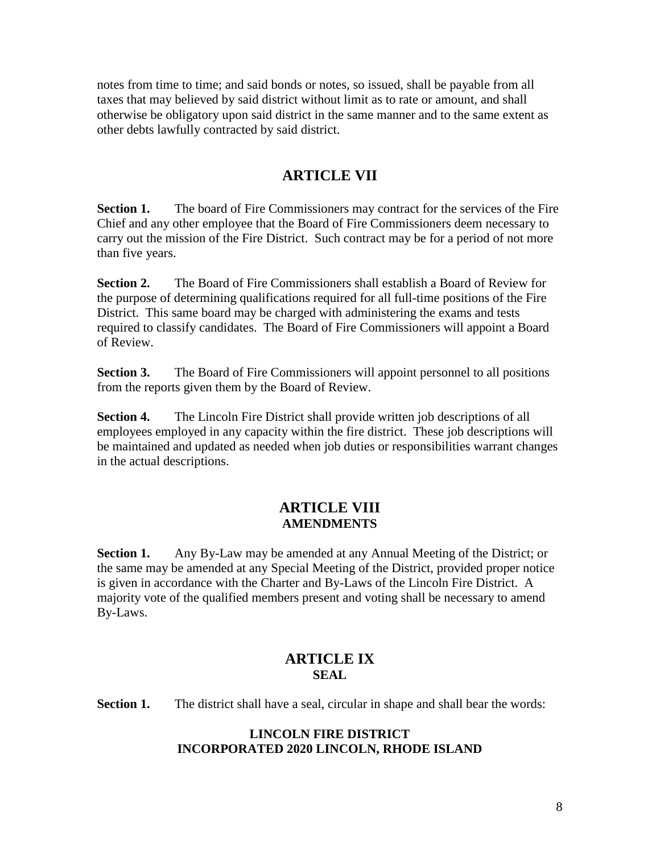notes from time to time; and said bonds or notes, so issued, shall be payable from all taxes that may believed by said district without limit as to rate or amount, and shall otherwise be obligatory upon said district in the same manner and to the same extent as other debts lawfully contracted by said district.

# **ARTICLE VII**

**Section 1.** The board of Fire Commissioners may contract for the services of the Fire Chief and any other employee that the Board of Fire Commissioners deem necessary to carry out the mission of the Fire District. Such contract may be for a period of not more than five years.

**Section 2.** The Board of Fire Commissioners shall establish a Board of Review for the purpose of determining qualifications required for all full-time positions of the Fire District. This same board may be charged with administering the exams and tests required to classify candidates. The Board of Fire Commissioners will appoint a Board of Review.

**Section 3.** The Board of Fire Commissioners will appoint personnel to all positions from the reports given them by the Board of Review.

**Section 4.** The Lincoln Fire District shall provide written job descriptions of all employees employed in any capacity within the fire district. These job descriptions will be maintained and updated as needed when job duties or responsibilities warrant changes in the actual descriptions.

# **ARTICLE VIII AMENDMENTS**

**Section 1.** Any By-Law may be amended at any Annual Meeting of the District; or the same may be amended at any Special Meeting of the District, provided proper notice is given in accordance with the Charter and By-Laws of the Lincoln Fire District. A majority vote of the qualified members present and voting shall be necessary to amend By-Laws.

# **ARTICLE IX SEAL**

**Section 1.** The district shall have a seal, circular in shape and shall bear the words:

### **LINCOLN FIRE DISTRICT INCORPORATED 2020 LINCOLN, RHODE ISLAND**